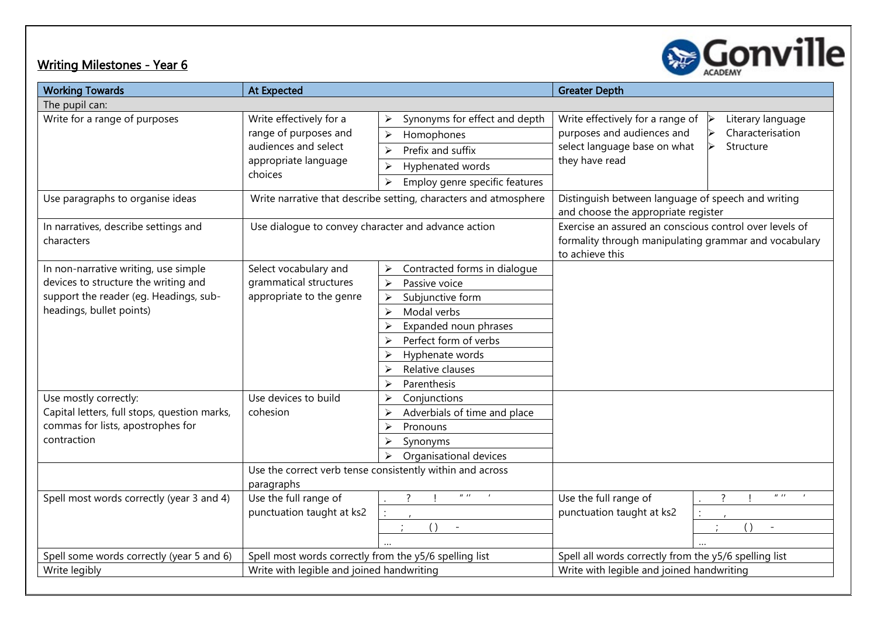

| <b>Working Towards</b>                                                                                                                                                 | <b>At Expected</b>                                                                                          |                                                                                                                                                                                                                                                                               | <b>Greater Depth</b>                                                                                                                                                                                                             |                                                              |
|------------------------------------------------------------------------------------------------------------------------------------------------------------------------|-------------------------------------------------------------------------------------------------------------|-------------------------------------------------------------------------------------------------------------------------------------------------------------------------------------------------------------------------------------------------------------------------------|----------------------------------------------------------------------------------------------------------------------------------------------------------------------------------------------------------------------------------|--------------------------------------------------------------|
| The pupil can:                                                                                                                                                         |                                                                                                             |                                                                                                                                                                                                                                                                               |                                                                                                                                                                                                                                  |                                                              |
| Write for a range of purposes                                                                                                                                          | Write effectively for a<br>range of purposes and<br>audiences and select<br>appropriate language<br>choices | Synonyms for effect and depth<br>⋗<br>Homophones<br>$\blacktriangleright$<br>Prefix and suffix<br>$\blacktriangleright$<br>Hyphenated words<br>≻<br>Employ genre specific features<br>≻                                                                                       | Write effectively for a range of<br>purposes and audiences and<br>select language base on what<br>they have read                                                                                                                 | Literary language<br>Characterisation<br>Structure           |
| Use paragraphs to organise ideas<br>In narratives, describe settings and<br>characters                                                                                 | Use dialogue to convey character and advance action                                                         | Write narrative that describe setting, characters and atmosphere                                                                                                                                                                                                              | Distinguish between language of speech and writing<br>and choose the appropriate register<br>Exercise an assured an conscious control over levels of<br>formality through manipulating grammar and vocabulary<br>to achieve this |                                                              |
| In non-narrative writing, use simple<br>devices to structure the writing and<br>support the reader (eg. Headings, sub-<br>headings, bullet points)                     | Select vocabulary and<br>grammatical structures<br>appropriate to the genre                                 | Contracted forms in dialogue<br>$\blacktriangleright$<br>Passive voice<br>$\blacktriangleright$<br>Subjunctive form<br>≻<br>Modal verbs<br>$\blacktriangleright$<br>Expanded noun phrases<br>Perfect form of verbs<br>Hyphenate words<br>Relative clauses<br>Parenthesis<br>≻ |                                                                                                                                                                                                                                  |                                                              |
| Use mostly correctly:<br>Capital letters, full stops, question marks,<br>commas for lists, apostrophes for<br>contraction<br>Spell most words correctly (year 3 and 4) | Use devices to build<br>cohesion<br>paragraphs<br>Use the full range of<br>punctuation taught at ks2        | Conjunctions<br>$\triangleright$<br>Adverbials of time and place<br>Pronouns<br>⋗<br>Synonyms<br>Organisational devices<br>Use the correct verb tense consistently within and across<br>$II - II$<br>$\left( \ \right)$                                                       | Use the full range of<br>punctuation taught at ks2                                                                                                                                                                               | $\mathbf{u}$ $\mathbf{u}$<br>$\overline{\mathcal{E}}$<br>( ) |
| Spell some words correctly (year 5 and 6)<br>Write legibly                                                                                                             | Spell most words correctly from the y5/6 spelling list<br>Write with legible and joined handwriting         |                                                                                                                                                                                                                                                                               | Spell all words correctly from the y5/6 spelling list<br>Write with legible and joined handwriting                                                                                                                               |                                                              |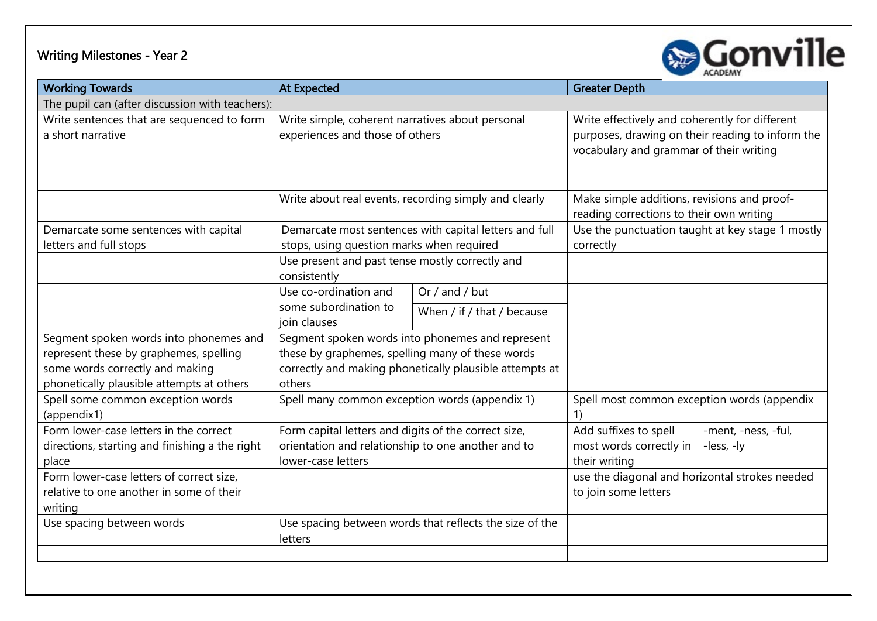## <u> Writing Milestones - Year 2</u>



| <b>Working Towards</b>                                                                            | <b>At Expected</b>                                                                                                               |                                                         | <b>Greater Depth</b>                                                                                                                          |                                                  |  |  |  |
|---------------------------------------------------------------------------------------------------|----------------------------------------------------------------------------------------------------------------------------------|---------------------------------------------------------|-----------------------------------------------------------------------------------------------------------------------------------------------|--------------------------------------------------|--|--|--|
| The pupil can (after discussion with teachers):                                                   |                                                                                                                                  |                                                         |                                                                                                                                               |                                                  |  |  |  |
| Write sentences that are sequenced to form<br>a short narrative                                   | Write simple, coherent narratives about personal<br>experiences and those of others                                              |                                                         | Write effectively and coherently for different<br>purposes, drawing on their reading to inform the<br>vocabulary and grammar of their writing |                                                  |  |  |  |
|                                                                                                   |                                                                                                                                  | Write about real events, recording simply and clearly   | Make simple additions, revisions and proof-<br>reading corrections to their own writing                                                       |                                                  |  |  |  |
| Demarcate some sentences with capital                                                             |                                                                                                                                  | Demarcate most sentences with capital letters and full  |                                                                                                                                               | Use the punctuation taught at key stage 1 mostly |  |  |  |
| letters and full stops                                                                            | stops, using question marks when required                                                                                        |                                                         | correctly                                                                                                                                     |                                                  |  |  |  |
|                                                                                                   | Use present and past tense mostly correctly and<br>consistently                                                                  |                                                         |                                                                                                                                               |                                                  |  |  |  |
|                                                                                                   | Use co-ordination and                                                                                                            | Or $/$ and $/$ but                                      |                                                                                                                                               |                                                  |  |  |  |
|                                                                                                   | some subordination to<br>join clauses                                                                                            | When / if / that / because                              |                                                                                                                                               |                                                  |  |  |  |
| Segment spoken words into phonemes and                                                            |                                                                                                                                  | Segment spoken words into phonemes and represent        |                                                                                                                                               |                                                  |  |  |  |
| represent these by graphemes, spelling                                                            | these by graphemes, spelling many of these words                                                                                 |                                                         |                                                                                                                                               |                                                  |  |  |  |
| some words correctly and making<br>phonetically plausible attempts at others                      | others                                                                                                                           | correctly and making phonetically plausible attempts at |                                                                                                                                               |                                                  |  |  |  |
| Spell some common exception words<br>(appendix1)                                                  | Spell many common exception words (appendix 1)                                                                                   |                                                         | Spell most common exception words (appendix                                                                                                   |                                                  |  |  |  |
| Form lower-case letters in the correct<br>directions, starting and finishing a the right<br>place | Form capital letters and digits of the correct size,<br>orientation and relationship to one another and to<br>lower-case letters |                                                         | Add suffixes to spell<br>most words correctly in<br>their writing                                                                             | -ment, -ness, -ful,<br>-less, -ly                |  |  |  |
| Form lower-case letters of correct size,<br>relative to one another in some of their<br>writing   |                                                                                                                                  |                                                         | use the diagonal and horizontal strokes needed<br>to join some letters                                                                        |                                                  |  |  |  |
| Use spacing between words                                                                         | letters                                                                                                                          | Use spacing between words that reflects the size of the |                                                                                                                                               |                                                  |  |  |  |
|                                                                                                   |                                                                                                                                  |                                                         |                                                                                                                                               |                                                  |  |  |  |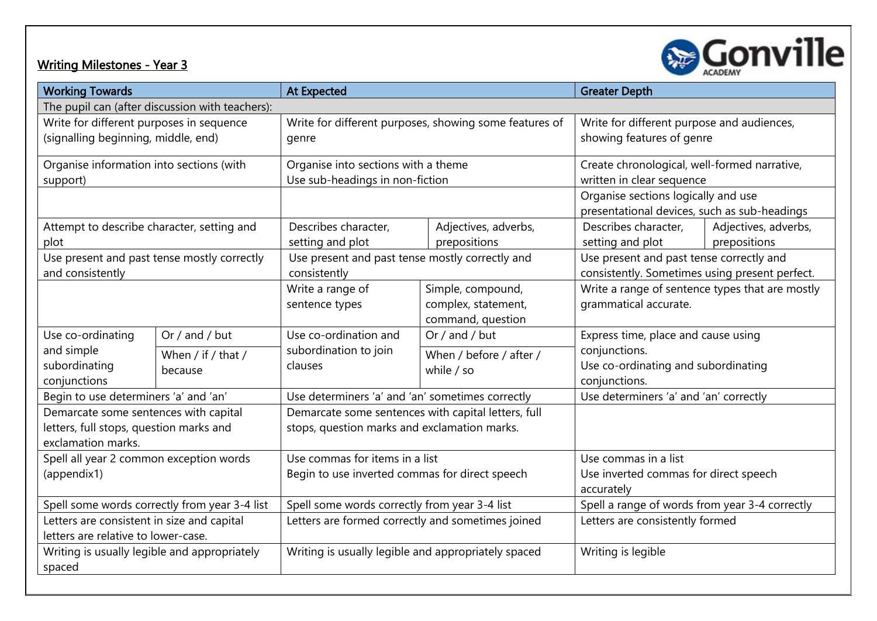

| <b>Working Towards</b>                                                                                 |                               | <b>At Expected</b>                                                                                  |                                                               | <b>Greater Depth</b>                                                                       |                                      |  |
|--------------------------------------------------------------------------------------------------------|-------------------------------|-----------------------------------------------------------------------------------------------------|---------------------------------------------------------------|--------------------------------------------------------------------------------------------|--------------------------------------|--|
| The pupil can (after discussion with teachers):                                                        |                               |                                                                                                     |                                                               |                                                                                            |                                      |  |
| Write for different purposes in sequence<br>(signalling beginning, middle, end)                        |                               | genre                                                                                               | Write for different purposes, showing some features of        | Write for different purpose and audiences,<br>showing features of genre                    |                                      |  |
| Organise information into sections (with<br>support)                                                   |                               | Organise into sections with a theme<br>Use sub-headings in non-fiction                              |                                                               | Create chronological, well-formed narrative,<br>written in clear sequence                  |                                      |  |
|                                                                                                        |                               |                                                                                                     |                                                               | Organise sections logically and use<br>presentational devices, such as sub-headings        |                                      |  |
| Attempt to describe character, setting and<br>plot                                                     |                               | Describes character,<br>setting and plot                                                            | Adjectives, adverbs,<br>prepositions                          | Describes character,<br>setting and plot                                                   | Adjectives, adverbs,<br>prepositions |  |
| Use present and past tense mostly correctly<br>and consistently                                        |                               | Use present and past tense mostly correctly and<br>consistently                                     |                                                               | Use present and past tense correctly and<br>consistently. Sometimes using present perfect. |                                      |  |
|                                                                                                        |                               | Write a range of<br>sentence types                                                                  | Simple, compound,<br>complex, statement,<br>command, question | Write a range of sentence types that are mostly<br>grammatical accurate.                   |                                      |  |
| Use co-ordinating                                                                                      | Or / and / but                | Use co-ordination and                                                                               | Or / and / but                                                | Express time, place and cause using                                                        |                                      |  |
| and simple<br>subordinating<br>conjunctions                                                            | When / if / that /<br>because | subordination to join<br>clauses                                                                    | When / before / after /<br>while $/$ so                       | conjunctions.<br>Use co-ordinating and subordinating<br>conjunctions.                      |                                      |  |
| Begin to use determiners 'a' and 'an'                                                                  |                               | Use determiners 'a' and 'an' sometimes correctly                                                    |                                                               | Use determiners 'a' and 'an' correctly                                                     |                                      |  |
| Demarcate some sentences with capital<br>letters, full stops, question marks and<br>exclamation marks. |                               | Demarcate some sentences with capital letters, full<br>stops, question marks and exclamation marks. |                                                               |                                                                                            |                                      |  |
| Spell all year 2 common exception words<br>(appendix1)                                                 |                               | Use commas for items in a list<br>Begin to use inverted commas for direct speech                    |                                                               | Use commas in a list<br>Use inverted commas for direct speech<br>accurately                |                                      |  |
| Spell some words correctly from year 3-4 list                                                          |                               | Spell some words correctly from year 3-4 list                                                       |                                                               | Spell a range of words from year 3-4 correctly                                             |                                      |  |
| Letters are consistent in size and capital<br>letters are relative to lower-case.                      |                               | Letters are formed correctly and sometimes joined                                                   |                                                               | Letters are consistently formed                                                            |                                      |  |
| Writing is usually legible and appropriately<br>spaced                                                 |                               | Writing is usually legible and appropriately spaced                                                 |                                                               | Writing is legible                                                                         |                                      |  |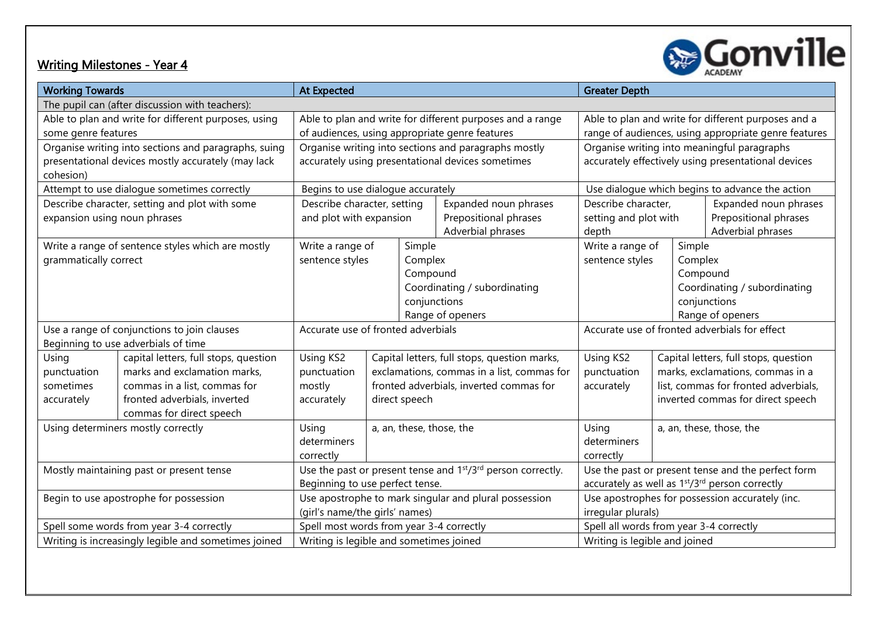

| <b>Working Towards</b>                               |                                                      | <b>At Expected</b>                                                                   |                          |                                                 | <b>Greater Depth</b>                                                    |                                                |         |                                                      |
|------------------------------------------------------|------------------------------------------------------|--------------------------------------------------------------------------------------|--------------------------|-------------------------------------------------|-------------------------------------------------------------------------|------------------------------------------------|---------|------------------------------------------------------|
| The pupil can (after discussion with teachers):      |                                                      |                                                                                      |                          |                                                 |                                                                         |                                                |         |                                                      |
| Able to plan and write for different purposes, using |                                                      | Able to plan and write for different purposes and a range                            |                          |                                                 | Able to plan and write for different purposes and a                     |                                                |         |                                                      |
| some genre features                                  |                                                      |                                                                                      |                          |                                                 | of audiences, using appropriate genre features                          |                                                |         | range of audiences, using appropriate genre features |
|                                                      | Organise writing into sections and paragraphs, suing |                                                                                      |                          |                                                 | Organise writing into sections and paragraphs mostly                    |                                                |         | Organise writing into meaningful paragraphs          |
| cohesion)                                            | presentational devices mostly accurately (may lack   | accurately using presentational devices sometimes                                    |                          |                                                 | accurately effectively using presentational devices                     |                                                |         |                                                      |
|                                                      | Attempt to use dialogue sometimes correctly          | Begins to use dialogue accurately                                                    |                          |                                                 | Use dialogue which begins to advance the action                         |                                                |         |                                                      |
|                                                      | Describe character, setting and plot with some       | Describe character, setting                                                          |                          |                                                 | Expanded noun phrases                                                   | Describe character,                            |         | Expanded noun phrases                                |
| expansion using noun phrases                         |                                                      | and plot with expansion                                                              |                          |                                                 | Prepositional phrases                                                   | setting and plot with<br>Prepositional phrases |         |                                                      |
|                                                      |                                                      |                                                                                      |                          |                                                 | Adverbial phrases                                                       | depth                                          |         | Adverbial phrases                                    |
|                                                      | Write a range of sentence styles which are mostly    | Write a range of                                                                     |                          | Simple                                          |                                                                         | Write a range of<br>Simple                     |         |                                                      |
| grammatically correct                                |                                                      | sentence styles                                                                      |                          | Complex                                         |                                                                         | sentence styles                                | Complex |                                                      |
|                                                      |                                                      |                                                                                      |                          | Compound                                        |                                                                         |                                                |         | Compound                                             |
|                                                      |                                                      |                                                                                      |                          |                                                 | Coordinating / subordinating                                            |                                                |         | Coordinating / subordinating                         |
|                                                      |                                                      |                                                                                      |                          | conjunctions                                    |                                                                         |                                                |         | conjunctions                                         |
|                                                      |                                                      |                                                                                      |                          |                                                 | Range of openers                                                        |                                                |         | Range of openers                                     |
|                                                      | Use a range of conjunctions to join clauses          | Accurate use of fronted adverbials                                                   |                          |                                                 |                                                                         | Accurate use of fronted adverbials for effect  |         |                                                      |
|                                                      | Beginning to use adverbials of time                  |                                                                                      |                          |                                                 |                                                                         |                                                |         |                                                      |
| Using                                                | capital letters, full stops, question                | Using KS2                                                                            |                          |                                                 | Capital letters, full stops, question marks,                            | Using KS2                                      |         | Capital letters, full stops, question                |
| punctuation                                          | marks and exclamation marks,                         | punctuation                                                                          |                          |                                                 | exclamations, commas in a list, commas for                              | punctuation                                    |         | marks, exclamations, commas in a                     |
| sometimes                                            | commas in a list, commas for                         | mostly                                                                               |                          |                                                 | fronted adverbials, inverted commas for                                 | accurately                                     |         | list, commas for fronted adverbials,                 |
| accurately                                           | fronted adverbials, inverted                         | accurately                                                                           | direct speech            |                                                 |                                                                         |                                                |         | inverted commas for direct speech                    |
|                                                      | commas for direct speech                             |                                                                                      |                          |                                                 |                                                                         |                                                |         |                                                      |
|                                                      | Using determiners mostly correctly                   | Using                                                                                | a, an, these, those, the |                                                 |                                                                         | Using                                          |         | a, an, these, those, the                             |
|                                                      |                                                      | determiners                                                                          |                          |                                                 |                                                                         | determiners                                    |         |                                                      |
|                                                      |                                                      | correctly                                                                            |                          | correctly                                       |                                                                         |                                                |         |                                                      |
| Mostly maintaining past or present tense             |                                                      | Use the past or present tense and 1 <sup>st</sup> /3 <sup>rd</sup> person correctly. |                          |                                                 | Use the past or present tense and the perfect form                      |                                                |         |                                                      |
|                                                      |                                                      | Beginning to use perfect tense.                                                      |                          |                                                 | accurately as well as 1 <sup>st</sup> /3 <sup>rd</sup> person correctly |                                                |         |                                                      |
| Begin to use apostrophe for possession               |                                                      | Use apostrophe to mark singular and plural possession                                |                          | Use apostrophes for possession accurately (inc. |                                                                         |                                                |         |                                                      |
|                                                      |                                                      | (girl's name/the girls' names)                                                       |                          |                                                 | irregular plurals)                                                      |                                                |         |                                                      |
| Spell some words from year 3-4 correctly             |                                                      | Spell most words from year 3-4 correctly                                             |                          |                                                 | Spell all words from year 3-4 correctly                                 |                                                |         |                                                      |
| Writing is increasingly legible and sometimes joined |                                                      | Writing is legible and sometimes joined                                              |                          |                                                 | Writing is legible and joined                                           |                                                |         |                                                      |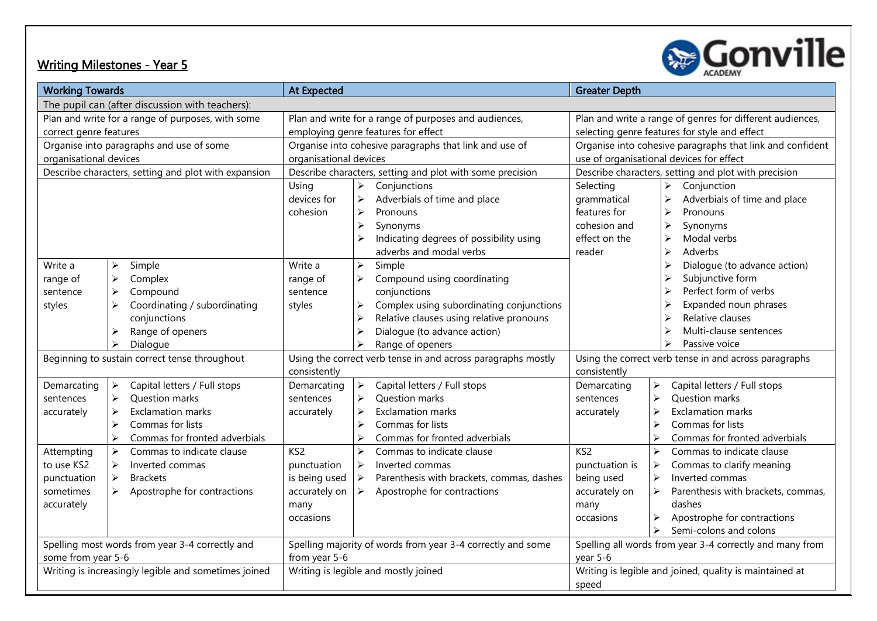

| <b>Working Towards</b>                               |                                                       | <b>At Expected</b>                                           |                                                                    | <b>Greater Depth</b>                                      |                                                             |  |
|------------------------------------------------------|-------------------------------------------------------|--------------------------------------------------------------|--------------------------------------------------------------------|-----------------------------------------------------------|-------------------------------------------------------------|--|
| The pupil can (after discussion with teachers):      |                                                       |                                                              |                                                                    |                                                           |                                                             |  |
| Plan and write for a range of purposes, with some    |                                                       |                                                              | Plan and write for a range of purposes and audiences,              | Plan and write a range of genres for different audiences, |                                                             |  |
| correct genre features                               |                                                       |                                                              | employing genre features for effect                                | selecting genre features for style and effect             |                                                             |  |
| Organise into paragraphs and use of some             |                                                       |                                                              | Organise into cohesive paragraphs that link and use of             |                                                           | Organise into cohesive paragraphs that link and confident   |  |
| organisational devices                               |                                                       | organisational devices                                       |                                                                    |                                                           | use of organisational devices for effect                    |  |
|                                                      | Describe characters, setting and plot with expansion  |                                                              | Describe characters, setting and plot with some precision          | Describe characters, setting and plot with precision      |                                                             |  |
|                                                      |                                                       | Using                                                        | Conjunctions<br>➤                                                  | Selecting                                                 | Conjunction<br>$\blacktriangleright$                        |  |
|                                                      |                                                       | devices for                                                  | Adverbials of time and place<br>$\blacktriangleright$              | grammatical                                               | $\blacktriangleright$<br>Adverbials of time and place       |  |
|                                                      |                                                       | cohesion                                                     | $\blacktriangleright$<br>Pronouns                                  | features for                                              | $\blacktriangleright$<br>Pronouns                           |  |
|                                                      |                                                       |                                                              | Synonyms<br>➤                                                      | cohesion and                                              | $\blacktriangleright$<br>Synonyms                           |  |
|                                                      |                                                       |                                                              | Indicating degrees of possibility using<br>$\blacktriangleright$   | effect on the                                             | $\blacktriangleright$<br>Modal verbs                        |  |
|                                                      |                                                       |                                                              | adverbs and modal verbs                                            | reader                                                    | $\blacktriangleright$<br>Adverbs                            |  |
| Write a                                              | Simple<br>$\blacktriangleright$                       | Write a                                                      | $\blacktriangleright$<br>Simple                                    |                                                           | $\blacktriangleright$<br>Dialogue (to advance action)       |  |
| range of                                             | $\blacktriangleright$<br>Complex                      | range of                                                     | Compound using coordinating<br>≻                                   |                                                           | Subjunctive form<br>$\triangleright$                        |  |
| sentence                                             | $\blacktriangleright$<br>Compound                     | sentence                                                     | conjunctions                                                       |                                                           | Perfect form of verbs<br>$\triangleright$                   |  |
| styles                                               | ↘<br>Coordinating / subordinating                     | styles                                                       | Complex using subordinating conjunctions<br>≻                      |                                                           | Expanded noun phrases<br>$\triangleright$                   |  |
|                                                      | conjunctions                                          |                                                              | Relative clauses using relative pronouns<br>⋗                      |                                                           | Relative clauses<br>$\triangleright$                        |  |
|                                                      | Range of openers<br>⋗                                 |                                                              | Dialogue (to advance action)<br>⋗                                  |                                                           | Multi-clause sentences<br>≻                                 |  |
|                                                      | Dialogue<br>⋗                                         |                                                              | Range of openers<br>$\blacktriangleright$                          |                                                           | Passive voice<br>$\triangleright$                           |  |
| Beginning to sustain correct tense throughout        |                                                       | Using the correct verb tense in and across paragraphs mostly |                                                                    |                                                           | Using the correct verb tense in and across paragraphs       |  |
|                                                      |                                                       | consistently                                                 |                                                                    | consistently                                              |                                                             |  |
| Demarcating                                          | Capital letters / Full stops<br>$\blacktriangleright$ | Demarcating                                                  | $\blacktriangleright$<br>Capital letters / Full stops              | Demarcating                                               | Capital letters / Full stops<br>$\triangleright$            |  |
| sentences                                            | Question marks<br>≻                                   | sentences                                                    | Question marks<br>$\blacktriangleright$                            | sentences                                                 | <b>Question marks</b><br>$\blacktriangleright$              |  |
| accurately                                           | <b>Exclamation marks</b><br>⋗                         | accurately                                                   | <b>Exclamation marks</b><br>➤                                      | accurately                                                | <b>Exclamation marks</b><br>$\blacktriangleright$           |  |
|                                                      | Commas for lists<br>⋗                                 |                                                              | Commas for lists<br>$\blacktriangleright$                          |                                                           | Commas for lists<br>$\blacktriangleright$                   |  |
|                                                      | ↘<br>Commas for fronted adverbials                    |                                                              | $\blacktriangleright$<br>Commas for fronted adverbials             |                                                           | $\blacktriangleright$<br>Commas for fronted adverbials      |  |
| Attempting                                           | $\blacktriangleright$<br>Commas to indicate clause    | KS <sub>2</sub>                                              | $\blacktriangleright$<br>Commas to indicate clause                 | KS <sub>2</sub>                                           | $\blacktriangleright$<br>Commas to indicate clause          |  |
| to use KS2                                           | $\blacktriangleright$<br>Inverted commas              | punctuation                                                  | $\blacktriangleright$<br>Inverted commas                           | punctuation is                                            | Commas to clarify meaning<br>$\blacktriangleright$          |  |
| punctuation                                          | $\blacktriangleright$<br><b>Brackets</b>              | is being used                                                | $\blacktriangleright$<br>Parenthesis with brackets, commas, dashes | being used                                                | $\blacktriangleright$<br>Inverted commas                    |  |
| sometimes                                            | $\blacktriangleright$<br>Apostrophe for contractions  | accurately on                                                | $\blacktriangleright$<br>Apostrophe for contractions               | accurately on                                             | $\blacktriangleright$<br>Parenthesis with brackets, commas, |  |
| accurately                                           |                                                       | many                                                         |                                                                    | many                                                      | dashes                                                      |  |
|                                                      |                                                       | occasions                                                    |                                                                    | occasions                                                 | $\blacktriangleright$<br>Apostrophe for contractions        |  |
|                                                      |                                                       |                                                              |                                                                    |                                                           | Semi-colons and colons<br>$\blacktriangleright$             |  |
|                                                      | Spelling most words from year 3-4 correctly and       |                                                              | Spelling majority of words from year 3-4 correctly and some        |                                                           | Spelling all words from year 3-4 correctly and many from    |  |
|                                                      | some from year 5-6                                    |                                                              | from year 5-6                                                      |                                                           | year 5-6                                                    |  |
| Writing is increasingly legible and sometimes joined |                                                       | Writing is legible and mostly joined                         |                                                                    | Writing is legible and joined, quality is maintained at   |                                                             |  |
|                                                      |                                                       |                                                              |                                                                    | speed                                                     |                                                             |  |